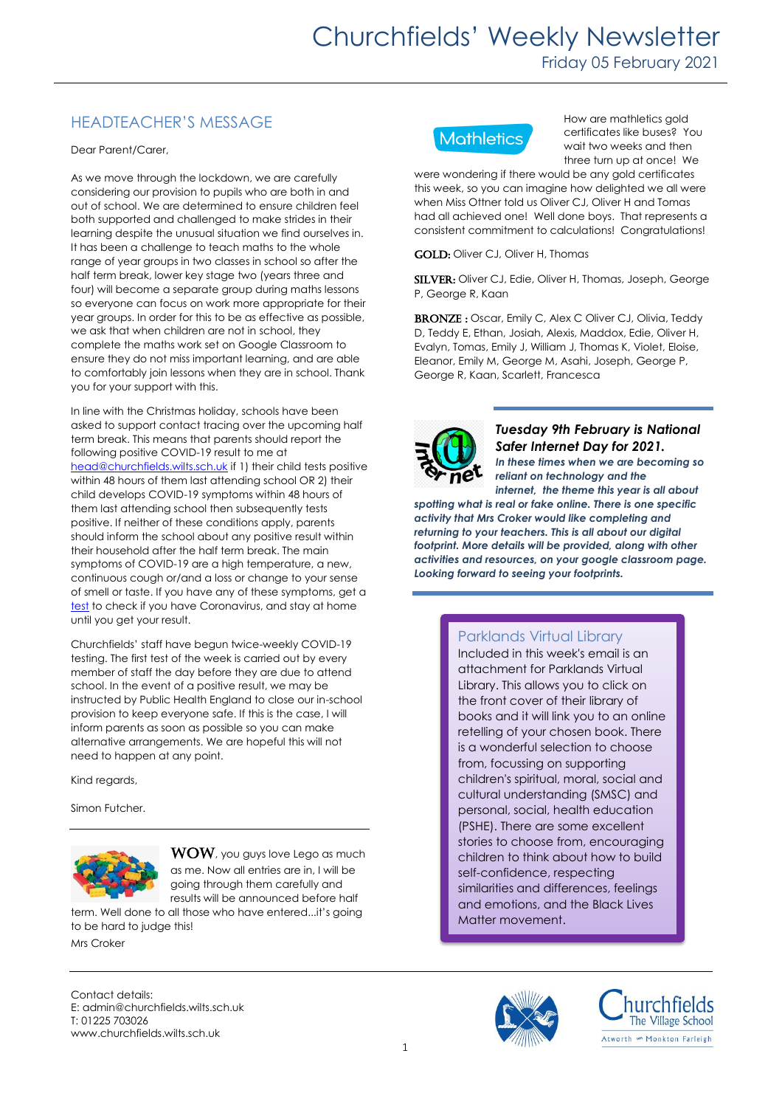## HEADTEACHER'S MESSAGE

Dear Parent/Carer,

As we move through the lockdown, we are carefully considering our provision to pupils who are both in and out of school. We are determined to ensure children feel both supported and challenged to make strides in their learning despite the unusual situation we find ourselves in. It has been a challenge to teach maths to the whole range of year groups in two classes in school so after the half term break, lower key stage two (years three and four) will become a separate group during maths lessons so everyone can focus on work more appropriate for their year groups. In order for this to be as effective as possible, we ask that when children are not in school, they complete the maths work set on Google Classroom to ensure they do not miss important learning, and are able to comfortably join lessons when they are in school. Thank you for your support with this.

In line with the Christmas holiday, schools have been asked to support contact tracing over the upcoming half term break. This means that parents should report the following positive COVID-19 result to me at [head@churchfields.wilts.sch.uk](mailto:head@churchfields.wilts.sch.uk) if 1) their child tests positive within 48 hours of them last attending school OR 2) their child develops COVID-19 symptoms within 48 hours of them last attending school then subsequently tests positive. If neither of these conditions apply, parents should inform the school about any positive result within their household after the half term break. The main symptoms of COVID-19 are a high temperature, a new, continuous cough or/and a loss or change to your sense of smell or taste. If you have any of these symptoms, get a [test](https://www.gov.uk/get-coronavirus-test) to check if you have Coronavirus, and stay at home until you get your result.

Churchfields' staff have begun twice-weekly COVID-19 testing. The first test of the week is carried out by every member of staff the day before they are due to attend school. In the event of a positive result, we may be instructed by Public Health England to close our in-school provision to keep everyone safe. If this is the case, I will inform parents as soon as possible so you can make alternative arrangements. We are hopeful this will not need to happen at any point.

Kind regards,

Simon Futcher.



WOW, you guys love Lego as much as me. Now all entries are in, I will be going through them carefully and results will be announced before half term. Well done to all those who have entered...it's going

to be hard to judge this! Mrs Croker

Contact details: E: admin@churchfields.wilts.sch.uk T: 01225 703026 www.churchfields.wilts.sch.uk



How are mathletics gold certificates like buses? You wait two weeks and then three turn up at once! We

were wondering if there would be any gold certificates this week, so you can imagine how delighted we all were when Miss Ottner told us Oliver CJ, Oliver H and Tomas had all achieved one! Well done boys. That represents a consistent commitment to calculations! Congratulations!

GOLD: Oliver CJ, Oliver H, Thomas

SILVER: Oliver CJ, Edie, Oliver H, Thomas, Joseph, George P, George R, Kaan

BRONZE: Oscar, Emily C, Alex C Oliver CJ, Olivia, Teddy D, Teddy E, Ethan, Josiah, Alexis, Maddox, Edie, Oliver H, Evalyn, Tomas, Emily J, William J, Thomas K, Violet, Eloise, Eleanor, Emily M, George M, Asahi, Joseph, George P, George R, Kaan, Scarlett, Francesca



*Tuesday 9th February is National Safer Internet Day for 2021.*

*In these times when we are becoming so reliant on technology and the* 

*internet, the theme this year is all about spotting what is real or fake online. There is one specific activity that Mrs Croker would like completing and returning to your teachers. This is all about our digital*  footprint. More details will be provided, along with other *activities and resources, on your google classroom page. Looking forward to seeing your footprints.*

## Parklands Virtual Library

Included in this week's email is an attachment for Parklands Virtual Library. This allows you to click on the front cover of their library of books and it will link you to an online retelling of your chosen book. There is a wonderful selection to choose from, focussing on supporting children's spiritual, moral, social and cultural understanding (SMSC) and personal, social, health education (PSHE). There are some excellent stories to choose from, encouraging children to think about how to build self-confidence, respecting similarities and differences, feelings and emotions, and the Black Lives Matter movement.



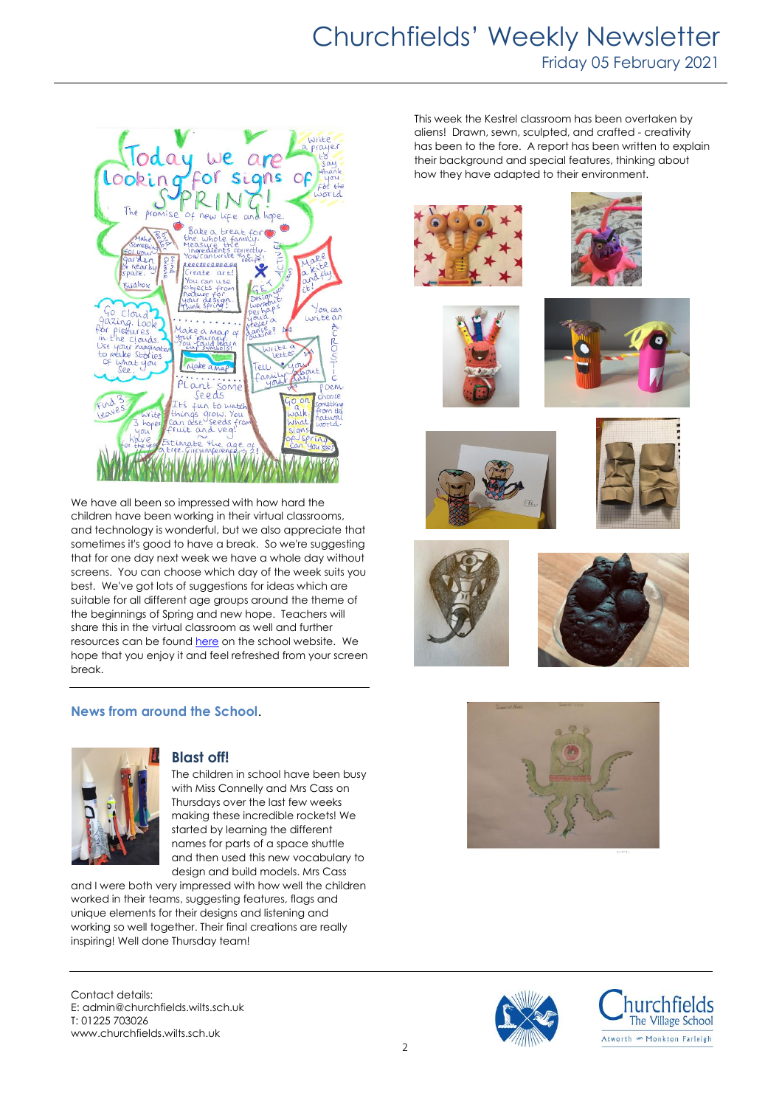## Churchfields' Weekly Newsletter Friday 05 February 2021



We have all been so impressed with how hard the children have been working in their virtual classrooms, and technology is wonderful, but we also appreciate that sometimes it's good to have a break. So we're suggesting that for one day next week we have a whole day without screens. You can choose which day of the week suits you best. We've got lots of suggestions for ideas which are suitable for all different age groups around the theme of the beginnings of Spring and new hope. Teachers will share this in the virtual classroom as well and further resources can be found [here](https://churchfields.wilts.sch.uk/school-closure-resources/screen-free-day-resources/) on the school website. We hope that you enjoy it and feel refreshed from your screen break.

#### **News from around the School**.



#### **Blast off!**

The children in school have been busy with Miss Connelly and Mrs Cass on Thursdays over the last few weeks making these incredible rockets! We started by learning the different names for parts of a space shuttle and then used this new vocabulary to design and build models. Mrs Cass

and I were both very impressed with how well the children worked in their teams, suggesting features, flags and unique elements for their designs and listening and working so well together. Their final creations are really inspiring! Well done Thursday team!

Contact details: E: admin@churchfields.wilts.sch.uk T: 01225 703026 www.churchfields.wilts.sch.uk

This week the Kestrel classroom has been overtaken by aliens! Drawn, sewn, sculpted, and crafted - creativity has been to the fore. A report has been written to explain their background and special features, thinking about how they have adapted to their environment.





















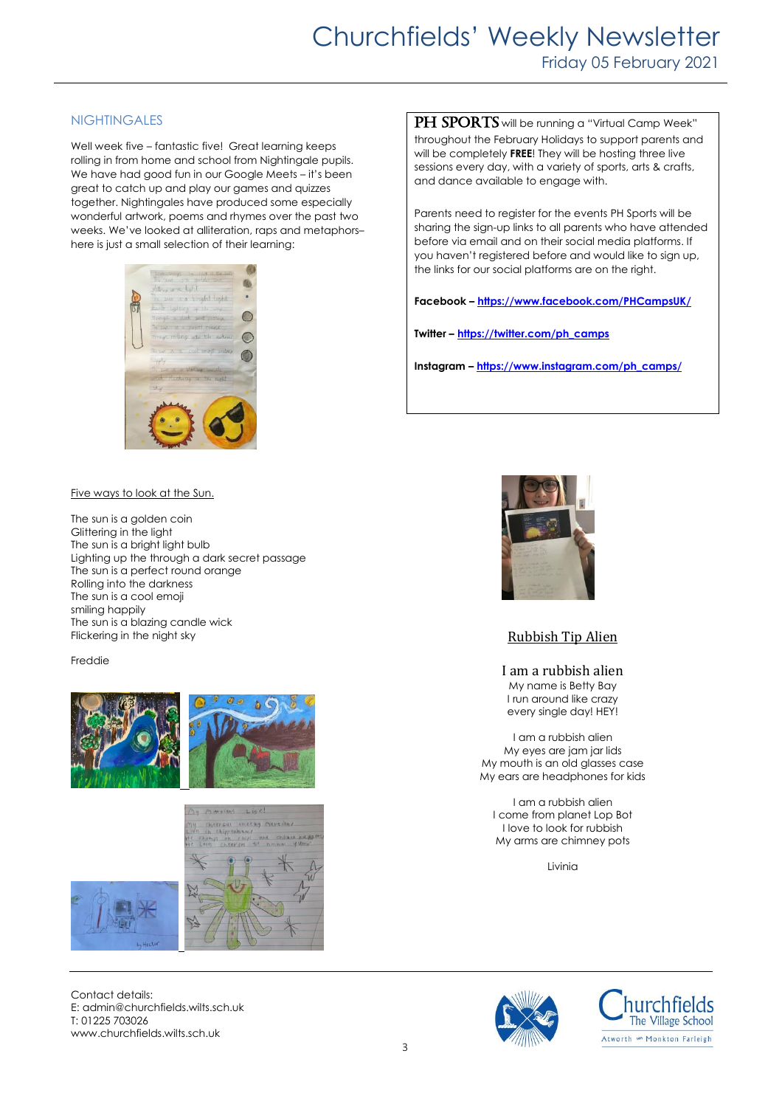# Churchfields' Weekly Newsletter Friday 05 February 2021

#### **NIGHTINGALES**

Well week five – fantastic five! Great learning keeps rolling in from home and school from Nightingale pupils. We have had good fun in our Google Meets – it's been great to catch up and play our games and quizzes together. Nightingales have produced some especially wonderful artwork, poems and rhymes over the past two weeks. We've looked at alliteration, raps and metaphors– here is just a small selection of their learning:



Five ways to look at the Sun.

The sun is a golden coin Glittering in the light The sun is a bright light bulb Lighting up the through a dark secret passage The sun is a perfect round orange Rolling into the darkness The sun is a cool emoji smiling happily The sun is a blazing candle wick Flickering in the night sky

#### Freddie





Contact details: E: admin@churchfields.wilts.sch.uk T: 01225 703026 www.churchfields.wilts.sch.uk

PH SPORTS will be running a "Virtual Camp Week" throughout the February Holidays to support parents and will be completely **FREE**! They will be hosting three live sessions every day, with a variety of sports, arts & crafts, and dance available to engage with.

Parents need to register for the events PH Sports will be sharing the sign-up links to all parents who have attended before via email and on their social media platforms. If you haven't reaistered before and would like to sign up, the links for our social platforms are on the right.

**Facebook – <https://www.facebook.com/PHCampsUK/>**

**Twitter – [https://twitter.com/ph\\_camps](https://twitter.com/ph_camps)**

**Instagram – [https://www.instagram.com/ph\\_camps/](https://www.instagram.com/ph_camps/)**



#### Rubbish Tip Alien

I am a rubbish alien My name is Betty Bay I run around like crazy every single day! HEY!

I am a rubbish alien My eyes are jam jar lids My mouth is an old glasses case My ears are headphones for kids

I am a rubbish alien I come from planet Lop Bot I love to look for rubbish My arms are chimney pots

Livinia